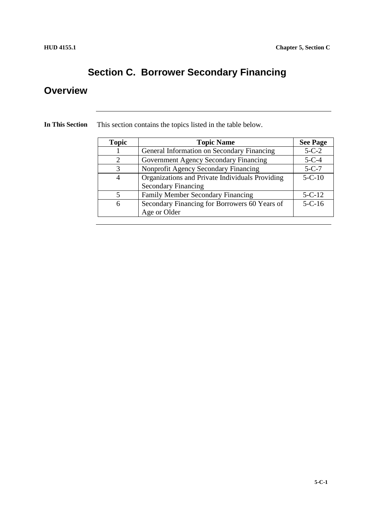# **Section C. Borrower Secondary Financing**

## **Overview**

| <b>Topic</b> | <b>Topic Name</b>                               | <b>See Page</b> |
|--------------|-------------------------------------------------|-----------------|
|              | General Information on Secondary Financing      | $5 - C - 2$     |
|              | Government Agency Secondary Financing           | $5-C-4$         |
| 3            | Nonprofit Agency Secondary Financing            | $5-C-7$         |
| 4            | Organizations and Private Individuals Providing | $5 - C - 10$    |
|              | <b>Secondary Financing</b>                      |                 |
|              | <b>Family Member Secondary Financing</b>        | $5 - C - 12$    |
| 6            | Secondary Financing for Borrowers 60 Years of   | $5 - C - 16$    |
|              | Age or Older                                    |                 |

**In This Section** This section contains the topics listed in the table below.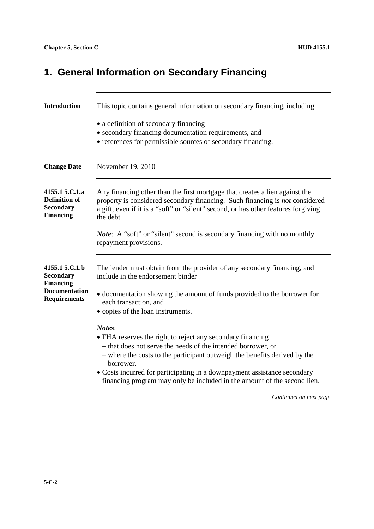# **1. General Information on Secondary Financing**

| <b>Introduction</b>                                                                                   | This topic contains general information on secondary financing, including                                                                                                                                                                                                                                                                                                                                                   |
|-------------------------------------------------------------------------------------------------------|-----------------------------------------------------------------------------------------------------------------------------------------------------------------------------------------------------------------------------------------------------------------------------------------------------------------------------------------------------------------------------------------------------------------------------|
|                                                                                                       | • a definition of secondary financing<br>• secondary financing documentation requirements, and<br>• references for permissible sources of secondary financing.                                                                                                                                                                                                                                                              |
| <b>Change Date</b>                                                                                    | November 19, 2010                                                                                                                                                                                                                                                                                                                                                                                                           |
| 4155.1 5.C.1.a<br><b>Definition of</b><br><b>Secondary</b><br><b>Financing</b>                        | Any financing other than the first mortgage that creates a lien against the<br>property is considered secondary financing. Such financing is not considered<br>a gift, even if it is a "soft" or "silent" second, or has other features forgiving<br>the debt.                                                                                                                                                              |
|                                                                                                       | <i>Note</i> : A "soft" or "silent" second is secondary financing with no monthly<br>repayment provisions.                                                                                                                                                                                                                                                                                                                   |
| 4155.1 5.C.1.b<br><b>Secondary</b><br><b>Financing</b><br><b>Documentation</b><br><b>Requirements</b> | The lender must obtain from the provider of any secondary financing, and<br>include in the endorsement binder<br>· documentation showing the amount of funds provided to the borrower for<br>each transaction, and                                                                                                                                                                                                          |
|                                                                                                       | • copies of the loan instruments.<br>Notes:<br>• FHA reserves the right to reject any secondary financing<br>- that does not serve the needs of the intended borrower, or<br>- where the costs to the participant outweigh the benefits derived by the<br>borrower.<br>• Costs incurred for participating in a downpayment assistance secondary<br>financing program may only be included in the amount of the second lien. |
|                                                                                                       | Continued on next page                                                                                                                                                                                                                                                                                                                                                                                                      |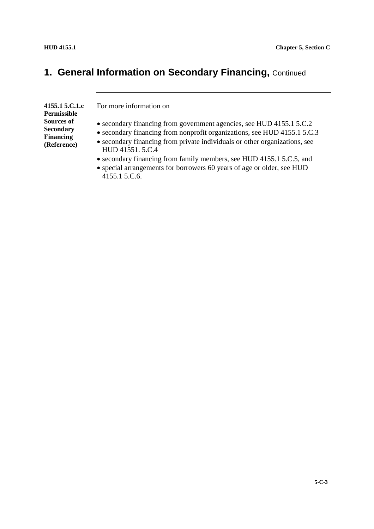# **1. General Information on Secondary Financing, Continued**

| 4155.1 5.C.1.c<br>Permissible                                            | For more information on                                                                                                                                                                                                                                                                                                                                                                                              |
|--------------------------------------------------------------------------|----------------------------------------------------------------------------------------------------------------------------------------------------------------------------------------------------------------------------------------------------------------------------------------------------------------------------------------------------------------------------------------------------------------------|
| <b>Sources of</b><br><b>Secondary</b><br><b>Financing</b><br>(Reference) | • secondary financing from government agencies, see HUD 4155.1 5.C.2<br>• secondary financing from nonprofit organizations, see HUD 4155.1 5.C.3<br>• secondary financing from private individuals or other organizations, see<br>HUD 41551.5.C.4<br>• secondary financing from family members, see HUD 4155.1 5.C.5, and<br>• special arrangements for borrowers 60 years of age or older, see HUD<br>4155.1 5.C.6. |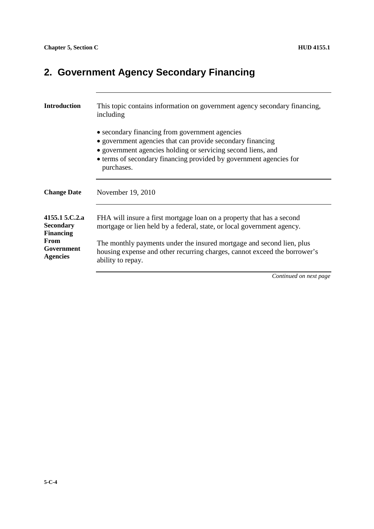# **2. Government Agency Secondary Financing**

| <b>Introduction</b>                                    | This topic contains information on government agency secondary financing,<br>including                                                                                                                                                                           |
|--------------------------------------------------------|------------------------------------------------------------------------------------------------------------------------------------------------------------------------------------------------------------------------------------------------------------------|
|                                                        | • secondary financing from government agencies<br>• government agencies that can provide secondary financing<br>• government agencies holding or servicing second liens, and<br>• terms of secondary financing provided by government agencies for<br>purchases. |
| <b>Change Date</b>                                     | November 19, 2010                                                                                                                                                                                                                                                |
| 4155.1 5.C.2.a<br><b>Secondary</b><br><b>Financing</b> | FHA will insure a first mortgage loan on a property that has a second<br>mortgage or lien held by a federal, state, or local government agency.                                                                                                                  |
| From<br>Government<br><b>Agencies</b>                  | The monthly payments under the insured mortgage and second lien, plus<br>housing expense and other recurring charges, cannot exceed the borrower's<br>ability to repay.                                                                                          |
|                                                        | Continued on next page                                                                                                                                                                                                                                           |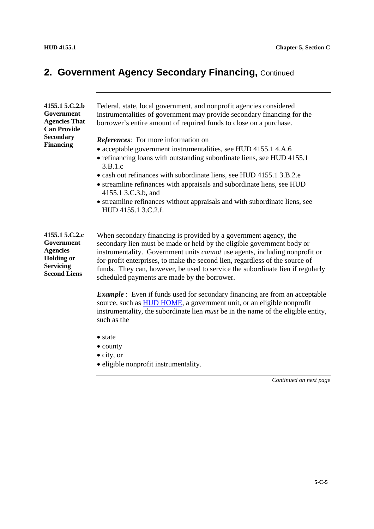# **2. Government Agency Secondary Financing, Continued**

| 4155.1 5.C.2.b<br>Government<br><b>Agencies That</b><br><b>Can Provide</b><br><b>Secondary</b><br><b>Financing</b> | Federal, state, local government, and nonprofit agencies considered<br>instrumentalities of government may provide secondary financing for the<br>borrower's entire amount of required funds to close on a purchase.<br><i>References:</i> For more information on<br>• acceptable government instrumentalities, see HUD 4155.1 4.A.6<br>• refinancing loans with outstanding subordinate liens, see HUD 4155.1<br>3.B.1.c<br>• cash out refinances with subordinate liens, see HUD 4155.1 3.B.2.e<br>• streamline refinances with appraisals and subordinate liens, see HUD<br>4155.1 3.C.3.b, and |
|--------------------------------------------------------------------------------------------------------------------|-----------------------------------------------------------------------------------------------------------------------------------------------------------------------------------------------------------------------------------------------------------------------------------------------------------------------------------------------------------------------------------------------------------------------------------------------------------------------------------------------------------------------------------------------------------------------------------------------------|
|                                                                                                                    | • streamline refinances without appraisals and with subordinate liens, see<br>HUD 4155.1 3.C.2.f.                                                                                                                                                                                                                                                                                                                                                                                                                                                                                                   |
| 4155.1 5.C.2.c<br>Government<br><b>Agencies</b><br><b>Holding or</b><br><b>Servicing</b><br><b>Second Liens</b>    | When secondary financing is provided by a government agency, the<br>secondary lien must be made or held by the eligible government body or<br>instrumentality. Government units <i>cannot</i> use agents, including nonprofit or<br>for-profit enterprises, to make the second lien, regardless of the source of<br>funds. They can, however, be used to service the subordinate lien if regularly<br>scheduled payments are made by the borrower.                                                                                                                                                  |
|                                                                                                                    | <b>Example</b> : Even if funds used for secondary financing are from an acceptable<br>source, such as <b>HUD HOME</b> , a government unit, or an eligible nonprofit<br>instrumentality, the subordinate lien <i>must</i> be in the name of the eligible entity,<br>such as the                                                                                                                                                                                                                                                                                                                      |
|                                                                                                                    | • state<br>$\bullet$ county                                                                                                                                                                                                                                                                                                                                                                                                                                                                                                                                                                         |

- city, or
- eligible nonprofit instrumentality.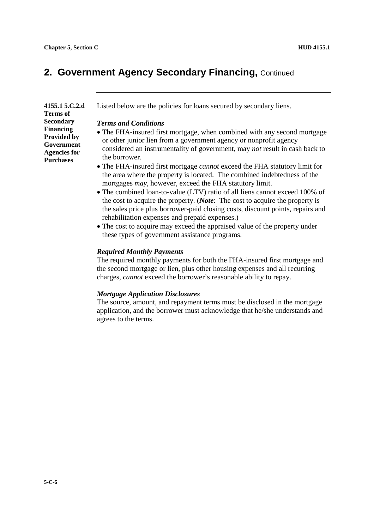### **2. Government Agency Secondary Financing,** Continued

**4155.1 5.C.2.d Terms of Secondary Financing Provided by Government Agencies for Purchases**

Listed below are the policies for loans secured by secondary liens.

#### *Terms and Conditions*

- The FHA-insured first mortgage, when combined with any second mortgage or other junior lien from a government agency or nonprofit agency considered an instrumentality of government, may *not* result in cash back to the borrower.
- The FHA-insured first mortgage *cannot* exceed the FHA statutory limit for the area where the property is located. The combined indebtedness of the mortgages *may*, however, exceed the FHA statutory limit.
- The combined loan-to-value (LTV) ratio of all liens cannot exceed 100% of the cost to acquire the property. (*Note*: The cost to acquire the property is the sales price plus borrower-paid closing costs, discount points, repairs and rehabilitation expenses and prepaid expenses.)
- The cost to acquire may exceed the appraised value of the property under these types of government assistance programs.

#### *Required Monthly Payments*

The required monthly payments for both the FHA-insured first mortgage and the second mortgage or lien, plus other housing expenses and all recurring charges, *cannot* exceed the borrower's reasonable ability to repay.

#### *Mortgage Application Disclosures*

The source, amount, and repayment terms must be disclosed in the mortgage application, and the borrower must acknowledge that he/she understands and agrees to the terms.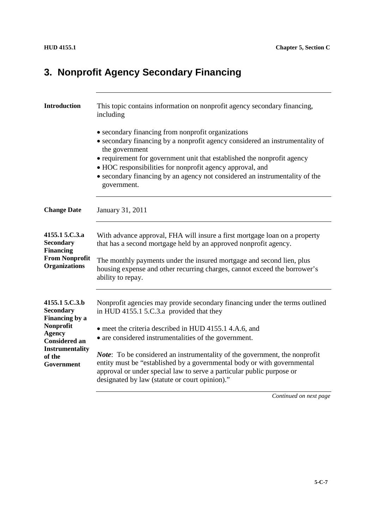# **3. Nonprofit Agency Secondary Financing**

| <b>Introduction</b>                                                                                                                                          | This topic contains information on nonprofit agency secondary financing,<br>including                                                                                                                                                                                                                                                                                                                                                                                                                                                  |
|--------------------------------------------------------------------------------------------------------------------------------------------------------------|----------------------------------------------------------------------------------------------------------------------------------------------------------------------------------------------------------------------------------------------------------------------------------------------------------------------------------------------------------------------------------------------------------------------------------------------------------------------------------------------------------------------------------------|
|                                                                                                                                                              | • secondary financing from nonprofit organizations<br>• secondary financing by a nonprofit agency considered an instrumentality of<br>the government<br>• requirement for government unit that established the nonprofit agency<br>• HOC responsibilities for nonprofit agency approval, and<br>• secondary financing by an agency not considered an instrumentality of the<br>government.                                                                                                                                             |
| <b>Change Date</b>                                                                                                                                           | January 31, 2011                                                                                                                                                                                                                                                                                                                                                                                                                                                                                                                       |
| 4155.1 5.C.3.a<br><b>Secondary</b><br><b>Financing</b><br><b>From Nonprofit</b><br><b>Organizations</b>                                                      | With advance approval, FHA will insure a first mortgage loan on a property<br>that has a second mortgage held by an approved nonprofit agency.<br>The monthly payments under the insured mortgage and second lien, plus<br>housing expense and other recurring charges, cannot exceed the borrower's<br>ability to repay.                                                                                                                                                                                                              |
| 4155.1 5.C.3.b<br><b>Secondary</b><br>Financing by a<br>Nonprofit<br><b>Agency</b><br><b>Considered an</b><br><b>Instrumentality</b><br>of the<br>Government | Nonprofit agencies may provide secondary financing under the terms outlined<br>in HUD 4155.1 5.C.3.a provided that they<br>• meet the criteria described in HUD 4155.1 4.A.6, and<br>• are considered instrumentalities of the government.<br><i>Note</i> : To be considered an instrumentality of the government, the nonprofit<br>entity must be "established by a governmental body or with governmental<br>approval or under special law to serve a particular public purpose or<br>designated by law (statute or court opinion)." |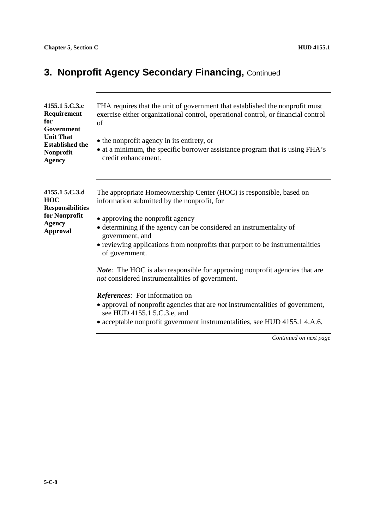# **3. Nonprofit Agency Secondary Financing, Continued**

| 4155.1 5.C.3.c<br>Requirement<br>for<br>Government                                                           | FHA requires that the unit of government that established the nonprofit must<br>exercise either organizational control, operational control, or financial control<br>of                   |
|--------------------------------------------------------------------------------------------------------------|-------------------------------------------------------------------------------------------------------------------------------------------------------------------------------------------|
| <b>Unit That</b><br><b>Established the</b><br>Nonprofit<br><b>Agency</b>                                     | • the nonprofit agency in its entirety, or<br>• at a minimum, the specific borrower assistance program that is using FHA's<br>credit enhancement.                                         |
| 4155.1 5.C.3.d<br><b>HOC</b><br><b>Responsibilities</b><br>for Nonprofit<br><b>Agency</b><br><b>Approval</b> | The appropriate Homeownership Center (HOC) is responsible, based on<br>information submitted by the nonprofit, for<br>• approving the nonprofit agency                                    |
|                                                                                                              | • determining if the agency can be considered an instrumentality of<br>government, and<br>• reviewing applications from nonprofits that purport to be instrumentalities<br>of government. |
|                                                                                                              | <i>Note</i> : The HOC is also responsible for approving nonprofit agencies that are<br>not considered instrumentalities of government.                                                    |
|                                                                                                              | <i>References:</i> For information on                                                                                                                                                     |
|                                                                                                              | $\bullet$ approval of nonprofit agencies that are <i>not</i> instrumentalities of government,<br>see HUD 4155.1 5.C.3.e, and                                                              |
|                                                                                                              | • acceptable nonprofit government instrumentalities, see HUD 4155.1 4.A.6.                                                                                                                |
|                                                                                                              | Continued on next page                                                                                                                                                                    |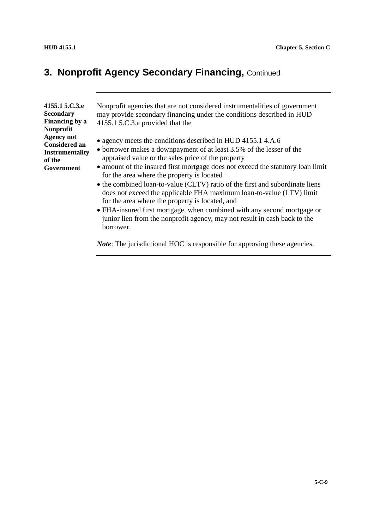### **3. Nonprofit Agency Secondary Financing, Continued**

**4155.1 5.C.3.e Secondary Financing by a Nonprofit Agency not Considered an Instrumentality of the Government**

Nonprofit agencies that are not considered instrumentalities of government may provide secondary financing under the conditions described in HUD 4155.1 5.C.3.a provided that the

- agency meets the conditions described in HUD 4155.1 4.A.6
- borrower makes a downpayment of at least 3.5% of the lesser of the appraised value or the sales price of the property
- amount of the insured first mortgage does not exceed the statutory loan limit for the area where the property is located
- the combined loan-to-value (CLTV) ratio of the first and subordinate liens does not exceed the applicable FHA maximum loan-to-value (LTV) limit for the area where the property is located, and
- FHA-insured first mortgage, when combined with any second mortgage or junior lien from the nonprofit agency, may not result in cash back to the borrower.

*Note*: The jurisdictional HOC is responsible for approving these agencies.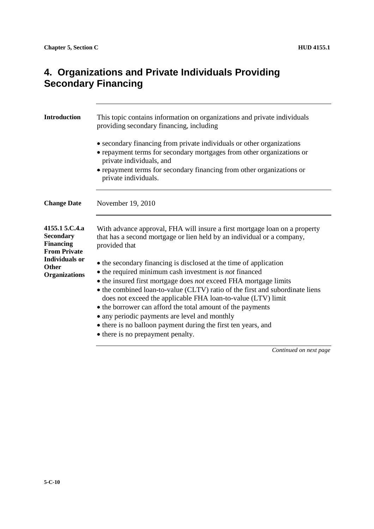### **4. Organizations and Private Individuals Providing Secondary Financing**

| <b>Introduction</b>                                                           | This topic contains information on organizations and private individuals<br>providing secondary financing, including                                                                                                                                                                                                                                                                                                                                                                                                                                                                       |
|-------------------------------------------------------------------------------|--------------------------------------------------------------------------------------------------------------------------------------------------------------------------------------------------------------------------------------------------------------------------------------------------------------------------------------------------------------------------------------------------------------------------------------------------------------------------------------------------------------------------------------------------------------------------------------------|
|                                                                               | • secondary financing from private individuals or other organizations<br>• repayment terms for secondary mortgages from other organizations or<br>private individuals, and<br>• repayment terms for secondary financing from other organizations or<br>private individuals.                                                                                                                                                                                                                                                                                                                |
| <b>Change Date</b>                                                            | November 19, 2010                                                                                                                                                                                                                                                                                                                                                                                                                                                                                                                                                                          |
| 4155.1 5.C.4.a<br><b>Secondary</b><br><b>Financing</b><br><b>From Private</b> | With advance approval, FHA will insure a first mortgage loan on a property<br>that has a second mortgage or lien held by an individual or a company,<br>provided that                                                                                                                                                                                                                                                                                                                                                                                                                      |
| <b>Individuals or</b><br>Other<br><b>Organizations</b>                        | • the secondary financing is disclosed at the time of application<br>$\bullet$ the required minimum cash investment is <i>not</i> financed<br>• the insured first mortgage does <i>not</i> exceed FHA mortgage limits<br>• the combined loan-to-value (CLTV) ratio of the first and subordinate liens<br>does not exceed the applicable FHA loan-to-value (LTV) limit<br>• the borrower can afford the total amount of the payments<br>• any periodic payments are level and monthly<br>• there is no balloon payment during the first ten years, and<br>• there is no prepayment penalty. |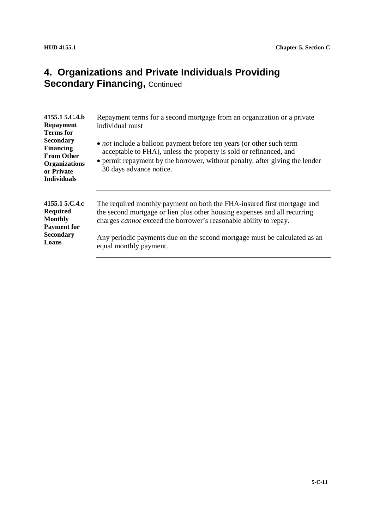### **4. Organizations and Private Individuals Providing Secondary Financing, Continued**

| 4155.1 5.C.4.b<br><b>Repayment</b><br><b>Terms for</b><br><b>Secondary</b><br><b>Financing</b><br><b>From Other</b><br><b>Organizations</b><br>or Private<br><b>Individuals</b> | Repayment terms for a second mortgage from an organization or a private<br>individual must<br>• <i>not</i> include a balloon payment before ten years (or other such term<br>acceptable to FHA), unless the property is sold or refinanced, and<br>• permit repayment by the borrower, without penalty, after giving the lender<br>30 days advance notice. |
|---------------------------------------------------------------------------------------------------------------------------------------------------------------------------------|------------------------------------------------------------------------------------------------------------------------------------------------------------------------------------------------------------------------------------------------------------------------------------------------------------------------------------------------------------|
| 4155.1 5.C.4.c<br><b>Required</b><br><b>Monthly</b><br><b>Payment for</b><br><b>Secondary</b><br>Loans                                                                          | The required monthly payment on both the FHA-insured first mortgage and<br>the second mortgage or lien plus other housing expenses and all recurring<br>charges <i>cannot</i> exceed the borrower's reasonable ability to repay.<br>Any periodic payments due on the second mortgage must be calculated as an<br>equal monthly payment.                    |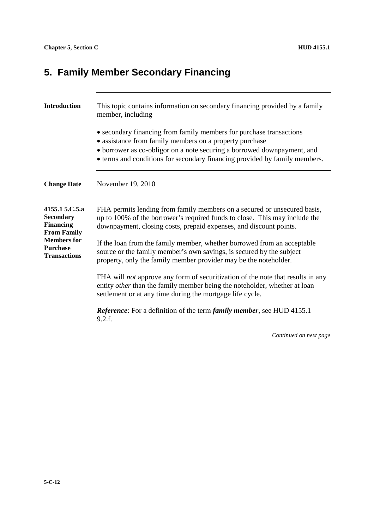# **5. Family Member Secondary Financing**

| <b>Introduction</b>                                                                                                                          | This topic contains information on secondary financing provided by a family<br>member, including                                                                                                                                                                                                        |
|----------------------------------------------------------------------------------------------------------------------------------------------|---------------------------------------------------------------------------------------------------------------------------------------------------------------------------------------------------------------------------------------------------------------------------------------------------------|
|                                                                                                                                              | • secondary financing from family members for purchase transactions<br>• assistance from family members on a property purchase<br>• borrower as co-obligor on a note securing a borrowed downpayment, and<br>• terms and conditions for secondary financing provided by family members.                 |
| <b>Change Date</b>                                                                                                                           | November 19, 2010                                                                                                                                                                                                                                                                                       |
| 4155.1 5.C.5.a<br><b>Secondary</b><br><b>Financing</b><br><b>From Family</b><br><b>Members</b> for<br><b>Purchase</b><br><b>Transactions</b> | FHA permits lending from family members on a secured or unsecured basis,<br>up to 100% of the borrower's required funds to close. This may include the<br>downpayment, closing costs, prepaid expenses, and discount points.<br>If the loan from the family member, whether borrowed from an acceptable |
|                                                                                                                                              | source or the family member's own savings, is secured by the subject<br>property, only the family member provider may be the noteholder.                                                                                                                                                                |
|                                                                                                                                              | FHA will <i>not</i> approve any form of securitization of the note that results in any<br>entity other than the family member being the noteholder, whether at loan<br>settlement or at any time during the mortgage life cycle.                                                                        |
|                                                                                                                                              | <i>Reference</i> : For a definition of the term <i>family member</i> , see HUD 4155.1<br>9.2.f.                                                                                                                                                                                                         |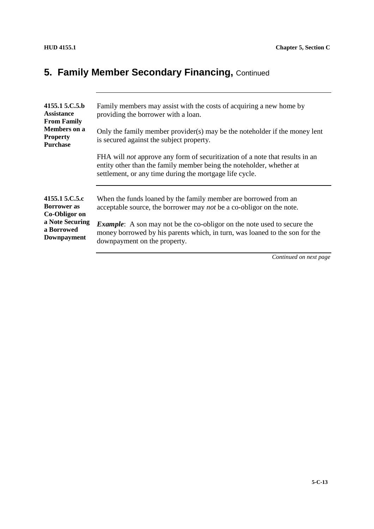# **5. Family Member Secondary Financing, Continued**

| 4155.1 5.C.5.b<br>Assistance<br><b>From Family</b><br><b>Members</b> on a<br><b>Property</b><br><b>Purchase</b> | Family members may assist with the costs of acquiring a new home by<br>providing the borrower with a loan.                                                                                                             |
|-----------------------------------------------------------------------------------------------------------------|------------------------------------------------------------------------------------------------------------------------------------------------------------------------------------------------------------------------|
|                                                                                                                 | Only the family member provider(s) may be the noteholder if the money lent<br>is secured against the subject property.                                                                                                 |
|                                                                                                                 | FHA will <i>not</i> approve any form of securitization of a note that results in an<br>entity other than the family member being the noteholder, whether at<br>settlement, or any time during the mortgage life cycle. |
| 4155.1 5.C.5.c<br><b>Borrower as</b><br>Co-Obligor on<br>a Note Securing<br>a Borrowed<br>Downpayment           | When the funds loaned by the family member are borrowed from an<br>acceptable source, the borrower may <i>not</i> be a co-obligor on the note.                                                                         |
|                                                                                                                 | <b>Example:</b> A son may not be the co-obligor on the note used to secure the<br>money borrowed by his parents which, in turn, was loaned to the son for the<br>downpayment on the property.                          |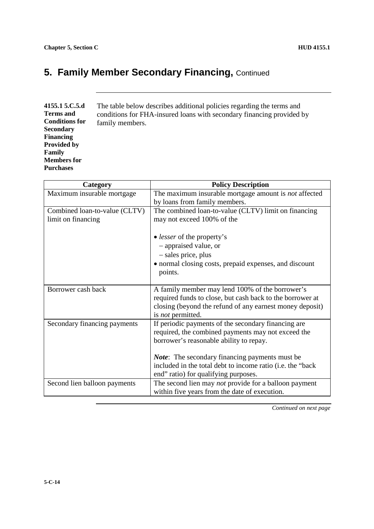# **5. Family Member Secondary Financing, Continued**

| 4155.1 5.C.5.d        | The table below describes additional policies regarding the terms and |
|-----------------------|-----------------------------------------------------------------------|
| <b>Terms</b> and      | conditions for FHA-insured loans with secondary financing provided by |
| <b>Conditions for</b> | family members.                                                       |
| <b>Secondary</b>      |                                                                       |
| <b>Financing</b>      |                                                                       |
| <b>Provided by</b>    |                                                                       |
| Family                |                                                                       |
| <b>Members for</b>    |                                                                       |
| <b>Purchases</b>      |                                                                       |

| Category                                            | <b>Policy Description</b>                                                                                                                                                                            |
|-----------------------------------------------------|------------------------------------------------------------------------------------------------------------------------------------------------------------------------------------------------------|
| Maximum insurable mortgage                          | The maximum insurable mortgage amount is <i>not</i> affected<br>by loans from family members.                                                                                                        |
| Combined loan-to-value (CLTV)<br>limit on financing | The combined loan-to-value (CLTV) limit on financing<br>may not exceed 100% of the                                                                                                                   |
|                                                     | • <i>lesser</i> of the property's                                                                                                                                                                    |
|                                                     | - appraised value, or                                                                                                                                                                                |
|                                                     | - sales price, plus                                                                                                                                                                                  |
|                                                     | · normal closing costs, prepaid expenses, and discount<br>points.                                                                                                                                    |
| Borrower cash back                                  | A family member may lend 100% of the borrower's<br>required funds to close, but cash back to the borrower at<br>closing (beyond the refund of any earnest money deposit)<br>is <i>not</i> permitted. |
| Secondary financing payments                        | If periodic payments of the secondary financing are<br>required, the combined payments may not exceed the<br>borrower's reasonable ability to repay.                                                 |
|                                                     | <b><i>Note</i></b> : The secondary financing payments must be<br>included in the total debt to income ratio (i.e. the "back"<br>end" ratio) for qualifying purposes.                                 |
| Second lien balloon payments                        | The second lien may <i>not</i> provide for a balloon payment<br>within five years from the date of execution.                                                                                        |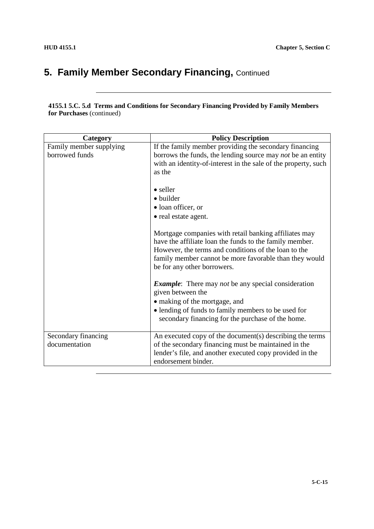## **5. Family Member Secondary Financing, Continued**

#### **4155.1 5.C. 5.d Terms and Conditions for Secondary Financing Provided by Family Members for Purchases** (continued)

| Category                                  | <b>Policy Description</b>                                                                                                                                                                                                                                                                 |
|-------------------------------------------|-------------------------------------------------------------------------------------------------------------------------------------------------------------------------------------------------------------------------------------------------------------------------------------------|
| Family member supplying<br>borrowed funds | If the family member providing the secondary financing<br>borrows the funds, the lending source may not be an entity<br>with an identity-of-interest in the sale of the property, such<br>as the<br>$\bullet$ seller<br>· builder<br>• loan officer, or                                   |
|                                           | • real estate agent.<br>Mortgage companies with retail banking affiliates may<br>have the affiliate loan the funds to the family member.<br>However, the terms and conditions of the loan to the<br>family member cannot be more favorable than they would<br>be for any other borrowers. |
|                                           | <b>Example:</b> There may not be any special consideration<br>given between the<br>• making of the mortgage, and<br>• lending of funds to family members to be used for<br>secondary financing for the purchase of the home.                                                              |
| Secondary financing<br>documentation      | An executed copy of the document(s) describing the terms<br>of the secondary financing must be maintained in the<br>lender's file, and another executed copy provided in the<br>endorsement binder.                                                                                       |